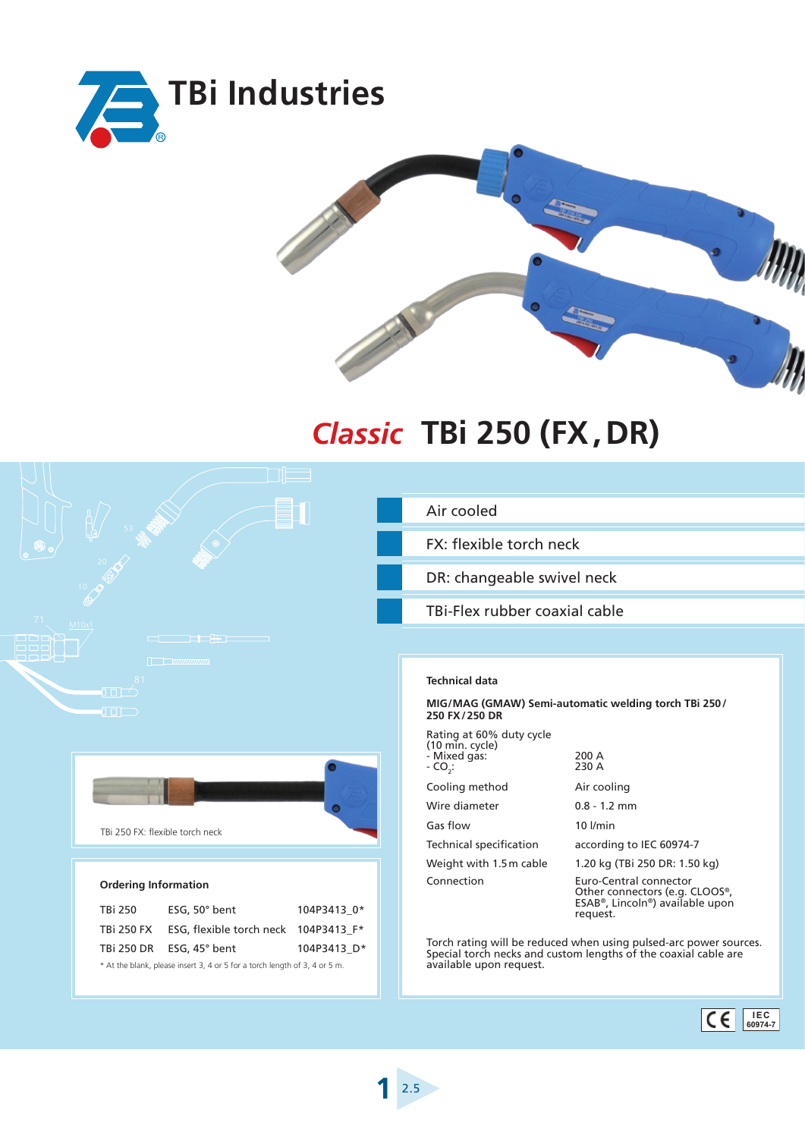



## **TBi 250 (FX,DR)** *Classic*



## **Ordering Information**

| TBi 250                                                                    | ESG, $50^\circ$ bent                 | 104P3413 0* |
|----------------------------------------------------------------------------|--------------------------------------|-------------|
| TBi 250 FX                                                                 | ESG, flexible torch neck 104P3413 F* |             |
|                                                                            | TBi 250 DR ESG, 45° bent             | 104P3413 D* |
| * At the blank, please insert 3, 4 or 5 for a torch length of 3, 4 or 5 m. |                                      |             |

## Air cooled

FX: flexible torch neck

DR: changeable swivel neck

TBi-Flex rubber coaxial cable

## **Technical data**

**<sup>1</sup>**►2.5

**MIG/MAG (GMAW) Semi-automatic welding torch TBi 250/ 250 FX/250 DR**

| Rating at 60% duty cycle<br>(10 min. cycle) |                                                                                                                                   |  |
|---------------------------------------------|-----------------------------------------------------------------------------------------------------------------------------------|--|
| - Mixed gas:<br>- CO.:                      | 200 A<br>230 A                                                                                                                    |  |
| Cooling method                              | Air cooling                                                                                                                       |  |
| Wire diameter                               | $0.8 - 1.2$ mm                                                                                                                    |  |
| Gas flow                                    | $10$ $l/min$                                                                                                                      |  |
| Technical specification                     | according to IEC 60974-7                                                                                                          |  |
| Weight with 1.5 m cable                     | 1.20 kg (TBi 250 DR: 1.50 kg)                                                                                                     |  |
| Connection                                  | Euro-Central connector<br>Other connectors (e.g. CLOOS®,<br>ESAB <sup>®</sup> , Lincoln <sup>®</sup> ) available upon<br>request. |  |

Torch rating will be reduced when using pulsed-arc power sources. Special torch necks and custom lengths of the coaxial cable are available upon request.